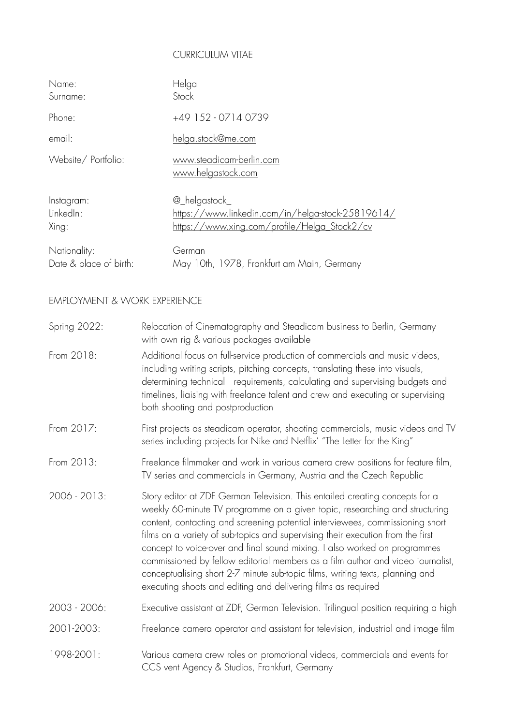## CURRICULUM VITAE

| Name:                  | Helga                                             |
|------------------------|---------------------------------------------------|
| Surname:               | Stock                                             |
| Phone:                 | +49 152 - 0714 0739                               |
| email:                 | <u>helga.stock@me.com</u>                         |
| Website/Portfolio:     | www.steadicam-berlin.com<br>www.helgastock.com    |
| Instagram:             | @_helgastock_                                     |
| LinkedIn:              | https://www.linkedin.com/in/helga-stock-25819614/ |
| Xing:                  | https://www.xing.com/profile/Helga_Stock2/cv      |
| Nationality:           | German                                            |
| Date & place of birth: | May 10th, 1978, Frankfurt am Main, Germany        |

## EMPLOYMENT & WORK EXPERIENCE

| Spring 2022: | Relocation of Cinematography and Steadicam business to Berlin, Germany<br>with own rig & various packages available                                                                                                                                                                                                                                                                                                                                                                                                                                                                                                                               |
|--------------|---------------------------------------------------------------------------------------------------------------------------------------------------------------------------------------------------------------------------------------------------------------------------------------------------------------------------------------------------------------------------------------------------------------------------------------------------------------------------------------------------------------------------------------------------------------------------------------------------------------------------------------------------|
| From 2018:   | Additional focus on full-service production of commercials and music videos,<br>including writing scripts, pitching concepts, translating these into visuals,<br>determining technical requirements, calculating and supervising budgets and<br>timelines, liaising with freelance talent and crew and executing or supervising<br>both shooting and postproduction                                                                                                                                                                                                                                                                               |
| From 2017:   | First projects as steadicam operator, shooting commercials, music videos and TV<br>series including projects for Nike and Netflix' "The Letter for the King"                                                                                                                                                                                                                                                                                                                                                                                                                                                                                      |
| From 2013:   | Freelance filmmaker and work in various camera crew positions for feature film,<br>TV series and commercials in Germany, Austria and the Czech Republic                                                                                                                                                                                                                                                                                                                                                                                                                                                                                           |
| 2006 - 2013: | Story editor at ZDF German Television. This entailed creating concepts for a<br>weekly 60-minute TV programme on a given topic, researching and structuring<br>content, contacting and screening potential interviewees, commissioning short<br>films on a variety of sub-topics and supervising their execution from the first<br>concept to voice-over and final sound mixing. I also worked on programmes<br>commissioned by fellow editorial members as a film author and video journalist,<br>conceptualising short 2-7 minute sub-topic films, writing texts, planning and<br>executing shoots and editing and delivering films as required |
| 2003 - 2006: | Executive assistant at ZDF, German Television. Trilingual position requiring a high                                                                                                                                                                                                                                                                                                                                                                                                                                                                                                                                                               |
| 2001-2003:   | Freelance camera operator and assistant for television, industrial and image film                                                                                                                                                                                                                                                                                                                                                                                                                                                                                                                                                                 |
| 1998-2001:   | Various camera crew roles on promotional videos, commercials and events for<br>CCS vent Agency & Studios, Frankfurt, Germany                                                                                                                                                                                                                                                                                                                                                                                                                                                                                                                      |